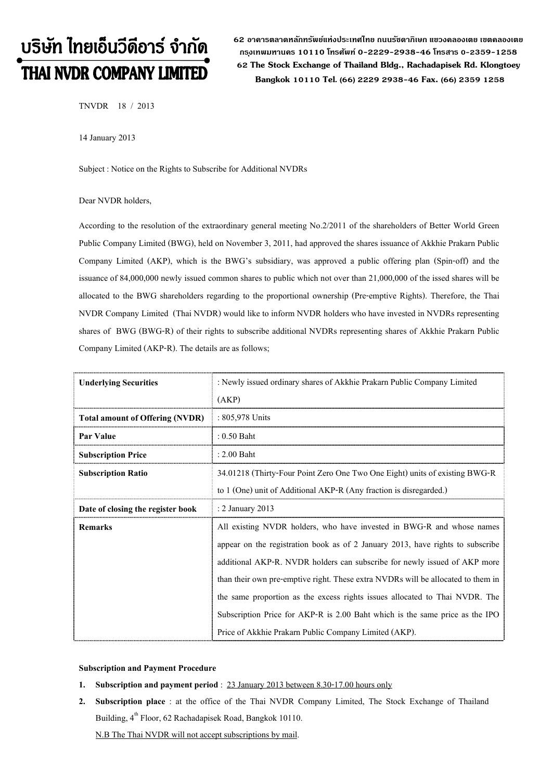# บริษัท ไทยเอ็นวีดีอาร์ จำกัด THAI NVDR COMPANY LIMITED

**62 อาคารตลาดหลักทรัพย์แห่งประเทศไทย ถนนรัชดาภิเษก แขวงคลองเตย เขตคลองเตย กร ุงเทพมหานคร 10110 โทรศัพท์ 0-2229-2938-46 โทรสาร 0-2359-1258 62 The Stock Exchange of Thailand Bldg., Rachadapisek Rd. Klongtoey Bangkok <sup>10110</sup> Tel. (66) 2229 2938-46 Fax. (66) 2359 1258**

TNVDR 18 / 2013

14 January 2013

Subject : Notice on the Rights to Subscribe for Additional NVDRs

#### Dear NVDR holders,

According to the resolution of the extraordinary general meeting No.2/2011 of the shareholders of Better World Green Public Company Limited (BWG), held on November 3, 2011, had approved the shares issuance of Akkhie Prakarn Public Company Limited (AKP), which is the BWG's subsidiary, was approved a public offering plan (Spin-off) and the issuance of 84,000,000 newly issued common shares to public which not over than 21,000,000 of the issed shares will be allocated to the BWG shareholders regarding to the proportional ownership (Pre-emptive Rights). Therefore, the Thai NVDR Company Limited (Thai NVDR) would like to inform NVDR holders who have invested in NVDRs representing shares of BWG (BWG-R) of their rights to subscribe additional NVDRs representing shares of Akkhie Prakarn Public Company Limited (AKP-R). The details are as follows;

| <b>Underlying Securities</b>           | : Newly issued ordinary shares of Akkhie Prakarn Public Company Limited<br>(AKP) |  |  |
|----------------------------------------|----------------------------------------------------------------------------------|--|--|
| <b>Total amount of Offering (NVDR)</b> | : 805,978 Units                                                                  |  |  |
| Par Value                              | $: 0.50$ Baht                                                                    |  |  |
| <b>Subscription Price</b>              | $: 2.00$ Baht                                                                    |  |  |
| <b>Subscription Ratio</b>              | 34.01218 (Thirty-Four Point Zero One Two One Eight) units of existing BWG-R      |  |  |
|                                        | to 1 (One) unit of Additional AKP-R (Any fraction is disregarded.)               |  |  |
| Date of closing the register book      | : 2 January 2013                                                                 |  |  |
| Remarks                                | All existing NVDR holders, who have invested in BWG-R and whose names            |  |  |
|                                        | appear on the registration book as of 2 January 2013, have rights to subscribe   |  |  |
|                                        | additional AKP-R. NVDR holders can subscribe for newly issued of AKP more        |  |  |
|                                        | than their own pre-emptive right. These extra NVDRs will be allocated to them in |  |  |
|                                        | the same proportion as the excess rights issues allocated to Thai NVDR. The      |  |  |
|                                        | Subscription Price for AKP-R is 2.00 Baht which is the same price as the IPO     |  |  |
|                                        | Price of Akkhie Prakarn Public Company Limited (AKP).                            |  |  |

## **Subscription and Payment Procedure**

- **1. Subscription and payment period** : 23 January 2013 between 8.30-17.00 hours only
- **2. Subscription place** : at the office of the Thai NVDR Company Limited, The Stock Exchange of Thailand Building,  $4^{\text{th}}$  Floor, 62 Rachadapisek Road, Bangkok 10110.

N.B The Thai NVDR will not accept subscriptions by mail.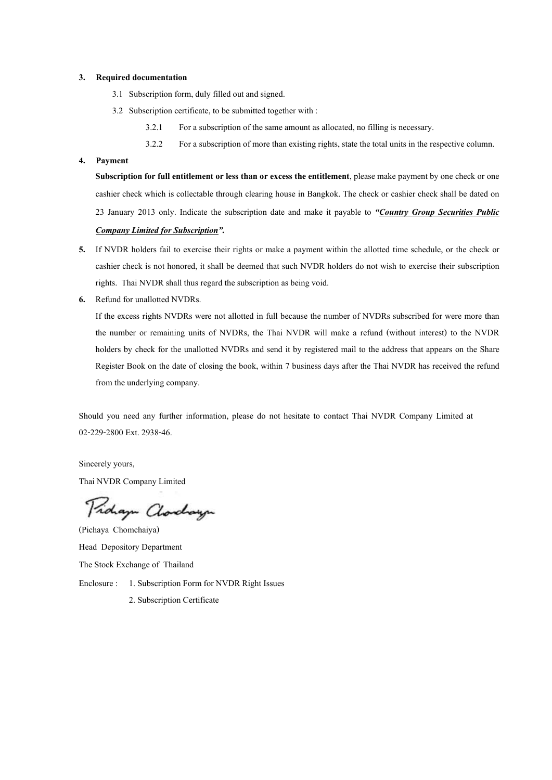#### **3. Required documentation**

- 3.1 Subscription form, duly filled out and signed.
- 3.2 Subscription certificate, to be submitted together with :
	- 3.2.1 For a subscription of the same amount as allocated, no filling is necessary.
	- 3.2.2 For a subscription of more than existing rights, state the total units in the respective column.

# **4. Payment**

**Subscription for full entitlement or less than or excess the entitlement**, please make payment by one check or one cashier check which is collectable through clearing house in Bangkok. The check or cashier check shall be dated on 23 January 2013 only. Indicate the subscription date and make it payable to *"Country Group Securities Public Company Limited for Subscription".*

- **5.** If NVDR holders fail to exercise their rights or make a payment within the allotted time schedule, or the check or cashier check is not honored, it shall be deemed that such NVDR holders do not wish to exercise their subscription rights. Thai NVDR shall thus regard the subscription as being void.
- **6.** Refund for unallotted NVDRs.

If the excess rights NVDRs were not allotted in full because the number of NVDRs subscribed for were more than the number or remaining units of NVDRs, the Thai NVDR will make a refund (without interest) to the NVDR holders by check for the unallotted NVDRs and send it by registered mail to the address that appears on the Share Register Book on the date of closing the book, within 7 business days after the Thai NVDR has received the refund from the underlying company.

Should you need any further information, please do not hesitate to contact Thai NVDR Company Limited at 02-229-2800 Ext. 2938-46.

Sincerely yours, Thai NVDR Company Limited

Proham Clorchayn

(Pichaya Chomchaiya) Head Depository Department The Stock Exchange of Thailand Enclosure : 1. Subscription Form for NVDR Right Issues 2. Subscription Certificate